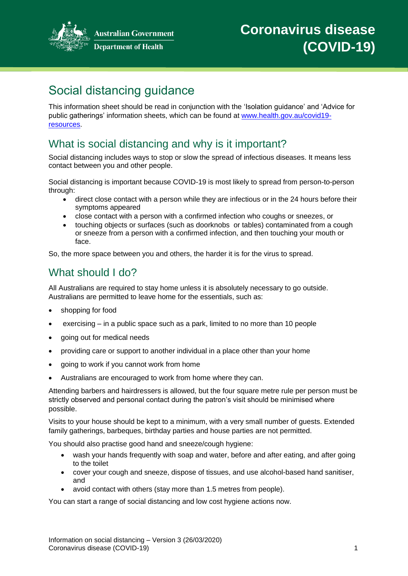

**Australian Government Department of Health** 

# Social distancing guidance

This information sheet should be read in conjunction with the 'Isolation guidance' and 'Advice for public gatherings' information sheets, which can be found at [www.health.gov.au/covid19](http://www.health.gov.au/covid19-resources) [resources.](http://www.health.gov.au/covid19-resources)

# What is social distancing and why is it important?

Social distancing includes ways to stop or slow the spread of infectious diseases. It means less contact between you and other people.

Social distancing is important because COVID-19 is most likely to spread from person-to-person through:

- direct close contact with a person while they are infectious or in the 24 hours before their symptoms appeared
- close contact with a person with a confirmed infection who coughs or sneezes, or
- touching objects or surfaces (such as doorknobs or tables) contaminated from a cough or sneeze from a person with a confirmed infection, and then touching your mouth or face.

So, the more space between you and others, the harder it is for the virus to spread.

### What should I do?

All Australians are required to stay home unless it is absolutely necessary to go outside. Australians are permitted to leave home for the essentials, such as:

- shopping for food
- exercising in a public space such as a park, limited to no more than 10 people
- going out for medical needs
- providing care or support to another individual in a place other than your home
- going to work if you cannot work from home
- Australians are encouraged to work from home where they can.

Attending barbers and hairdressers is allowed, but the four square metre rule per person must be strictly observed and personal contact during the patron's visit should be minimised where possible.

Visits to your house should be kept to a minimum, with a very small number of guests. Extended family gatherings, barbeques, birthday parties and house parties are not permitted.

You should also practise good hand and sneeze/cough hygiene:

- wash your hands frequently with soap and water, before and after eating, and after going to the toilet
- cover your cough and sneeze, dispose of tissues, and use alcohol-based hand sanitiser, and
- avoid contact with others (stay more than 1.5 metres from people).

You can start a range of social distancing and low cost hygiene actions now.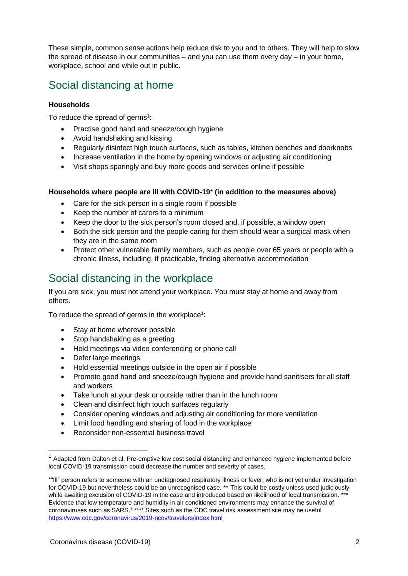These simple, common sense actions help reduce risk to you and to others. They will help to slow the spread of disease in our communities  $-$  and you can use them every day  $-$  in your home, workplace, school and while out in public.

### Social distancing at home

#### **Households**

To reduce the spread of germs<sup>1</sup>:

- Practise good hand and sneeze/cough hygiene
- Avoid handshaking and kissing
- Regularly disinfect high touch surfaces, such as tables, kitchen benches and doorknobs
- Increase ventilation in the home by opening windows or adjusting air conditioning
- Visit shops sparingly and buy more goods and services online if possible

#### **Households where people are ill with COVID-19**\* **(in addition to the measures above)**

- Care for the sick person in a single room if possible
- Keep the number of carers to a minimum
- Keep the door to the sick person's room closed and, if possible, a window open
- Both the sick person and the people caring for them should wear a surgical mask when they are in the same room
- Protect other vulnerable family members, such as people over 65 years or people with a chronic illness, including, if practicable, finding alternative accommodation

# Social distancing in the workplace

If you are sick, you must not attend your workplace. You must stay at home and away from others.

To reduce the spread of germs in the workplace<sup>1</sup>:

- Stay at home wherever possible
- Stop handshaking as a greeting
- Hold meetings via video conferencing or phone call
- Defer large meetings
- Hold essential meetings outside in the open air if possible
- Promote good hand and sneeze/cough hygiene and provide hand sanitisers for all staff and workers
- Take lunch at your desk or outside rather than in the lunch room
- Clean and disinfect high touch surfaces regularly
- Consider opening windows and adjusting air conditioning for more ventilation
- Limit food handling and sharing of food in the workplace
- Reconsider non-essential business travel

 $1$  Adapted from Dalton et al. Pre-emptive low cost social distancing and enhanced hygiene implemented before local COVID-19 transmission could decrease the number and severity of cases.

<sup>\*&</sup>quot;Ill" person refers to someone with an undiagnosed respiratory illness or fever, who is not yet under investigation for COVID-19 but nevertheless could be an unrecognised case. \*\* This could be costly unless used judiciously while awaiting exclusion of COVID-19 in the case and introduced based on likelihood of local transmission. \*\*\* Evidence that low temperature and humidity in air conditioned environments may enhance the survival of coronaviruses such as SARS.<sup>1</sup> \*\*\*\* Sites such as the CDC travel risk assessment site may be useful <https://www.cdc.gov/coronavirus/2019-ncov/travelers/index.html>